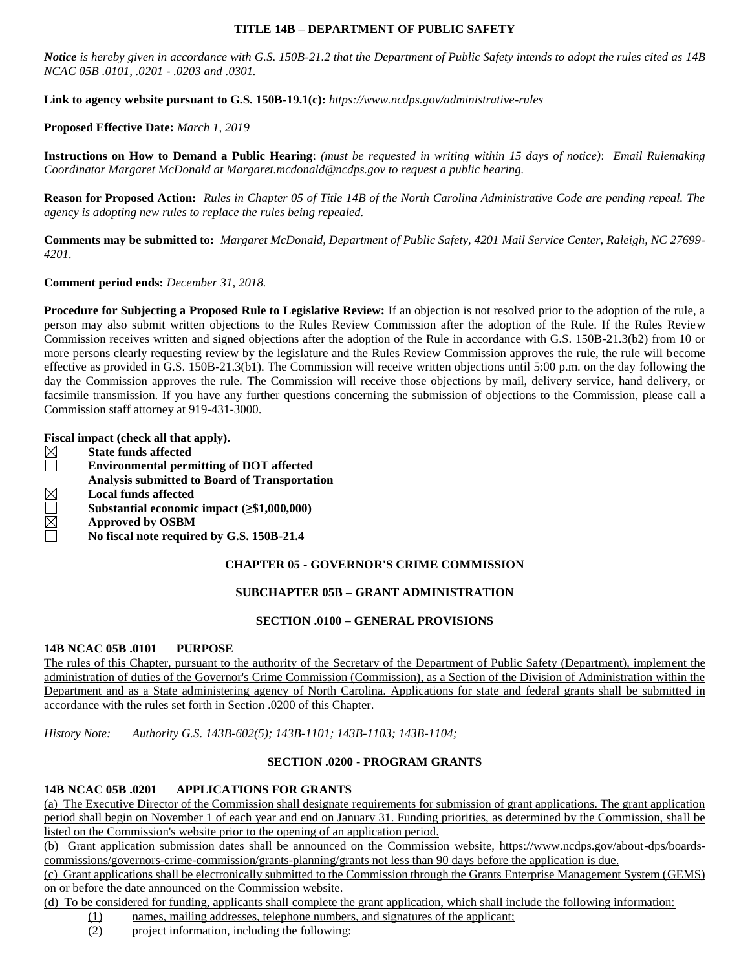#### **TITLE 14B – DEPARTMENT OF PUBLIC SAFETY**

*Notice is hereby given in accordance with G.S. 150B-21.2 that the Department of Public Safety intends to adopt the rules cited as 14B NCAC 05B .0101, .0201 - .0203 and .0301.*

**Link to agency website pursuant to G.S. 150B-19.1(c):** *https://www.ncdps.gov/administrative-rules*

#### **Proposed Effective Date:** *March 1, 2019*

**Instructions on How to Demand a Public Hearing**: *(must be requested in writing within 15 days of notice)*: *Email Rulemaking Coordinator Margaret McDonald at Margaret.mcdonald@ncdps.gov to request a public hearing.*

**Reason for Proposed Action:** *Rules in Chapter 05 of Title 14B of the North Carolina Administrative Code are pending repeal. The agency is adopting new rules to replace the rules being repealed.*

**Comments may be submitted to:** *Margaret McDonald, Department of Public Safety, 4201 Mail Service Center, Raleigh, NC 27699- 4201.*

**Comment period ends:** *December 31, 2018.*

**Procedure for Subjecting a Proposed Rule to Legislative Review:** If an objection is not resolved prior to the adoption of the rule, a person may also submit written objections to the Rules Review Commission after the adoption of the Rule. If the Rules Review Commission receives written and signed objections after the adoption of the Rule in accordance with G.S. 150B-21.3(b2) from 10 or more persons clearly requesting review by the legislature and the Rules Review Commission approves the rule, the rule will become effective as provided in G.S. 150B-21.3(b1). The Commission will receive written objections until 5:00 p.m. on the day following the day the Commission approves the rule. The Commission will receive those objections by mail, delivery service, hand delivery, or facsimile transmission. If you have any further questions concerning the submission of objections to the Commission, please call a Commission staff attorney at 919-431-3000.

**Fiscal impact (check all that apply).**

| $\sim$ 2000 $\sim$ 2011 $\mu$ 0.000 $\mu$ 0.1000 $\mu$ 0.000 $\mu$ 0.000 $\mu$ 0.000 $\mu$ |                                                      |
|--------------------------------------------------------------------------------------------|------------------------------------------------------|
|                                                                                            | <b>State funds affected</b>                          |
|                                                                                            | <b>Environmental permitting of DOT affected</b>      |
|                                                                                            | <b>Analysis submitted to Board of Transportation</b> |
| $\boxtimes$                                                                                | <b>Local funds affected</b>                          |
|                                                                                            | Substantial economic impact $(\geq$ \$1,000,000)     |
| $\boxtimes$                                                                                | <b>Approved by OSBM</b>                              |
|                                                                                            | No fiscal note required by G.S. 150B-21.4            |
|                                                                                            |                                                      |

## **CHAPTER 05 - GOVERNOR'S CRIME COMMISSION**

## **SUBCHAPTER 05B – GRANT ADMINISTRATION**

#### **SECTION .0100 – GENERAL PROVISIONS**

#### **14B NCAC 05B .0101 PURPOSE**

The rules of this Chapter, pursuant to the authority of the Secretary of the Department of Public Safety (Department), implement the administration of duties of the Governor's Crime Commission (Commission), as a Section of the Division of Administration within the Department and as a State administering agency of North Carolina. Applications for state and federal grants shall be submitted in accordance with the rules set forth in Section .0200 of this Chapter.

*History Note: Authority G.S. 143B-602(5); 143B-1101; 143B-1103; 143B-1104;*

### **SECTION .0200 - PROGRAM GRANTS**

### **14B NCAC 05B .0201 APPLICATIONS FOR GRANTS**

(a) The Executive Director of the Commission shall designate requirements for submission of grant applications. The grant application period shall begin on November 1 of each year and end on January 31. Funding priorities, as determined by the Commission, shall be listed on the Commission's website prior to the opening of an application period.

(b) Grant application submission dates shall be announced on the Commission website, https://www.ncdps.gov/about-dps/boardscommissions/governors-crime-commission/grants-planning/grants not less than 90 days before the application is due.

(c) Grant applications shall be electronically submitted to the Commission through the Grants Enterprise Management System (GEMS) on or before the date announced on the Commission website.

(d) To be considered for funding, applicants shall complete the grant application, which shall include the following information:

- (1) names, mailing addresses, telephone numbers, and signatures of the applicant;
- (2) project information, including the following: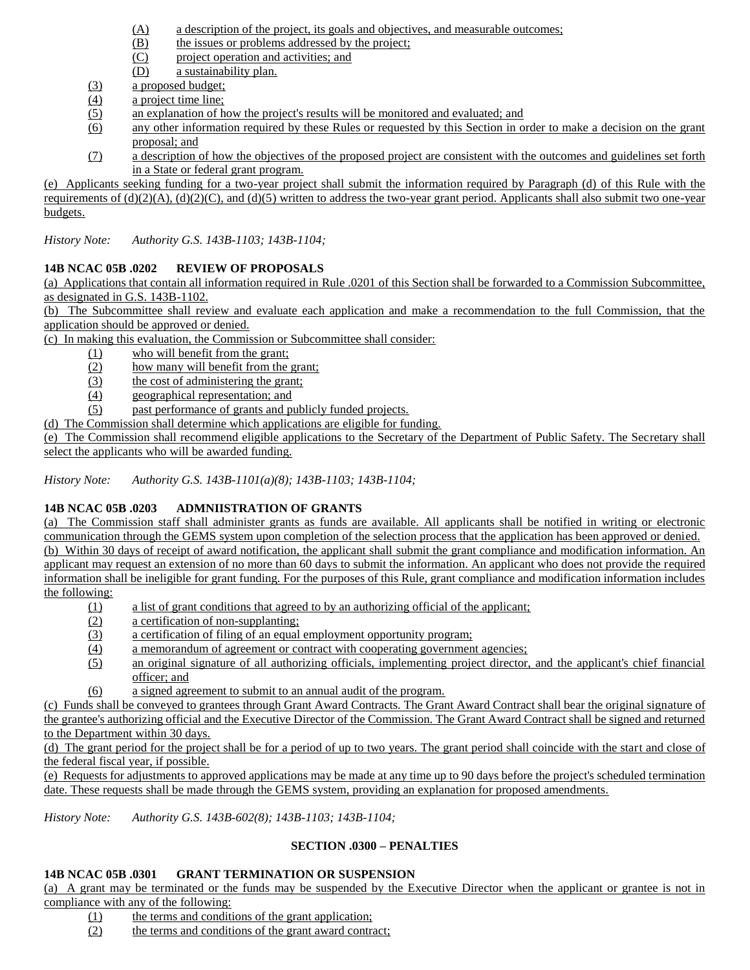- (A) a description of the project, its goals and objectives, and measurable outcomes;
- (B) the issues or problems addressed by the project;
- (C) project operation and activities; and
- (D) a sustainability plan.
- (3) a proposed budget;
- (4) a project time line;
- (5) an explanation of how the project's results will be monitored and evaluated; and
- (6) any other information required by these Rules or requested by this Section in order to make a decision on the grant proposal; and
- (7) a description of how the objectives of the proposed project are consistent with the outcomes and guidelines set forth in a State or federal grant program.

(e) Applicants seeking funding for a two-year project shall submit the information required by Paragraph (d) of this Rule with the requirements of  $(d)(2)(A)$ ,  $(d)(2)(C)$ , and  $(d)(5)$  written to address the two-year grant period. Applicants shall also submit two one-year budgets.

*History Note: Authority G.S. 143B-1103; 143B-1104;*

# **14B NCAC 05B .0202 REVIEW OF PROPOSALS**

(a) Applications that contain all information required in Rule .0201 of this Section shall be forwarded to a Commission Subcommittee, as designated in G.S. 143B-1102.

(b) The Subcommittee shall review and evaluate each application and make a recommendation to the full Commission, that the application should be approved or denied.

(c) In making this evaluation, the Commission or Subcommittee shall consider:

- (1) who will benefit from the grant;
- (2) how many will benefit from the grant;
- (3) the cost of administering the grant;
- (4) geographical representation; and

(5) past performance of grants and publicly funded projects.

(d) The Commission shall determine which applications are eligible for funding.

(e) The Commission shall recommend eligible applications to the Secretary of the Department of Public Safety. The Secretary shall select the applicants who will be awarded funding.

*History Note: Authority G.S. 143B-1101(a)(8); 143B-1103; 143B-1104;*

# **14B NCAC 05B .0203 ADMNIISTRATION OF GRANTS**

(a) The Commission staff shall administer grants as funds are available. All applicants shall be notified in writing or electronic communication through the GEMS system upon completion of the selection process that the application has been approved or denied. (b) Within 30 days of receipt of award notification, the applicant shall submit the grant compliance and modification information. An applicant may request an extension of no more than 60 days to submit the information. An applicant who does not provide the required information shall be ineligible for grant funding. For the purposes of this Rule, grant compliance and modification information includes the following:

- (1) a list of grant conditions that agreed to by an authorizing official of the applicant;
- (2) a certification of non-supplanting;
- (3) a certification of filing of an equal employment opportunity program;
- (4) a memorandum of agreement or contract with cooperating government agencies;
- (5) an original signature of all authorizing officials, implementing project director, and the applicant's chief financial officer; and
- (6) a signed agreement to submit to an annual audit of the program.

(c) Funds shall be conveyed to grantees through Grant Award Contracts. The Grant Award Contract shall bear the original signature of the grantee's authorizing official and the Executive Director of the Commission. The Grant Award Contract shall be signed and returned to the Department within 30 days.

(d) The grant period for the project shall be for a period of up to two years. The grant period shall coincide with the start and close of the federal fiscal year, if possible.

(e) Requests for adjustments to approved applications may be made at any time up to 90 days before the project's scheduled termination date. These requests shall be made through the GEMS system, providing an explanation for proposed amendments.

*History Note: Authority G.S. 143B-602(8); 143B-1103; 143B-1104;*

# **SECTION .0300 – PENALTIES**

# **14B NCAC 05B .0301 GRANT TERMINATION OR SUSPENSION**

(a) A grant may be terminated or the funds may be suspended by the Executive Director when the applicant or grantee is not in compliance with any of the following:

- (1) the terms and conditions of the grant application;
- (2) the terms and conditions of the grant award contract;